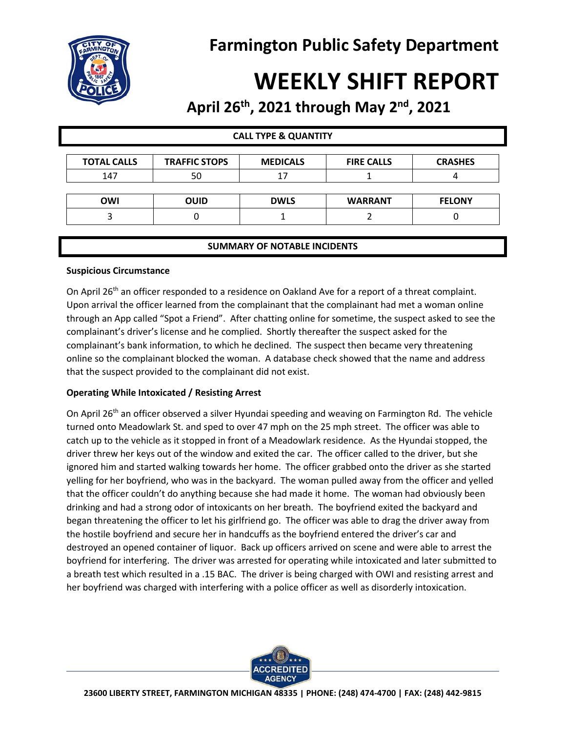



# **WEEKLY SHIFT REPORT**

## **April 26th , 2021 through May 2nd , 2021**

| <b>CALL TYPE &amp; QUANTITY</b> |                      |                 |                   |                |
|---------------------------------|----------------------|-----------------|-------------------|----------------|
| <b>TOTAL CALLS</b>              | <b>TRAFFIC STOPS</b> | <b>MEDICALS</b> | <b>FIRE CALLS</b> | <b>CRASHES</b> |
| 147                             | 50                   | 17              |                   |                |
|                                 |                      |                 |                   |                |
| OWI                             | <b>OUID</b>          | <b>DWLS</b>     | <b>WARRANT</b>    | <b>FELONY</b>  |
|                                 | 0                    |                 |                   |                |
|                                 |                      |                 |                   |                |

#### **SUMMARY OF NOTABLE INCIDENTS**

#### **Suspicious Circumstance**

On April 26<sup>th</sup> an officer responded to a residence on Oakland Ave for a report of a threat complaint. Upon arrival the officer learned from the complainant that the complainant had met a woman online through an App called "Spot a Friend". After chatting online for sometime, the suspect asked to see the complainant's driver's license and he complied. Shortly thereafter the suspect asked for the complainant's bank information, to which he declined. The suspect then became very threatening online so the complainant blocked the woman. A database check showed that the name and address that the suspect provided to the complainant did not exist.

#### **Operating While Intoxicated / Resisting Arrest**

On April 26<sup>th</sup> an officer observed a silver Hyundai speeding and weaving on Farmington Rd. The vehicle turned onto Meadowlark St. and sped to over 47 mph on the 25 mph street. The officer was able to catch up to the vehicle as it stopped in front of a Meadowlark residence. As the Hyundai stopped, the driver threw her keys out of the window and exited the car. The officer called to the driver, but she ignored him and started walking towards her home. The officer grabbed onto the driver as she started yelling for her boyfriend, who was in the backyard. The woman pulled away from the officer and yelled that the officer couldn't do anything because she had made it home. The woman had obviously been drinking and had a strong odor of intoxicants on her breath. The boyfriend exited the backyard and began threatening the officer to let his girlfriend go. The officer was able to drag the driver away from the hostile boyfriend and secure her in handcuffs as the boyfriend entered the driver's car and destroyed an opened container of liquor. Back up officers arrived on scene and were able to arrest the boyfriend for interfering. The driver was arrested for operating while intoxicated and later submitted to a breath test which resulted in a .15 BAC. The driver is being charged with OWI and resisting arrest and her boyfriend was charged with interfering with a police officer as well as disorderly intoxication.